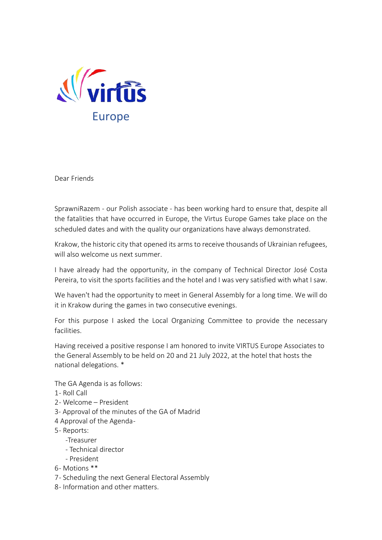

Dear Friends

SprawniRazem - our Polish associate - has been working hard to ensure that, despite all the fatalities that have occurred in Europe, the Virtus Europe Games take place on the scheduled dates and with the quality our organizations have always demonstrated.

Krakow, the historic city that opened its arms to receive thousands of Ukrainian refugees, will also welcome us next summer.

I have already had the opportunity, in the company of Technical Director José Costa Pereira, to visit the sports facilities and the hotel and I was very satisfied with what I saw.

We haven't had the opportunity to meet in General Assembly for a long time. We will do it in Krakow during the games in two consecutive evenings.

For this purpose I asked the Local Organizing Committee to provide the necessary facilities.

Having received a positive response I am honored to invite VIRTUS Europe Associates to the General Assembly to be held on 20 and 21 July 2022, at the hotel that hosts the national delegations. \*

The GA Agenda is as follows:

- 1 Roll Call
- 2 Welcome President
- 3- Approval of the minutes of the GA of Madrid
- 4 Approval of the Agenda -
- 5- Reports:
	- -Treasurer
		- Technical director
	- President
- 6- Motions \*\*
- 7- Scheduling the next General Electoral Assembly
- 8- Information and other matters.